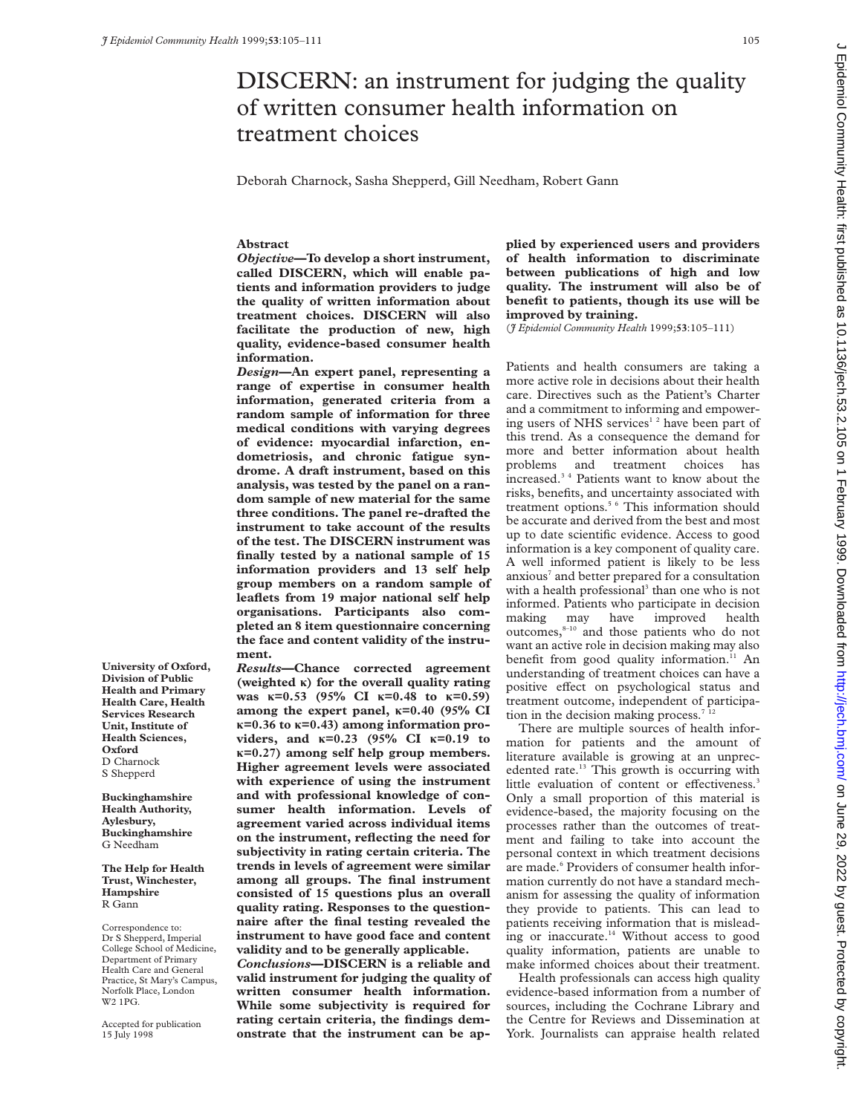$\epsilon$ 

# DISCERN: an instrument for judging the quality of written consumer health information on treatment choices

Deborah Charnock, Sasha Shepperd, Gill Needham, Robert Gann

# **Abstract**

*Objective***—To develop a short instrument, called DISCERN, which will enable patients and information providers to judge the quality of written information about treatment choices. DISCERN will also facilitate the production of new, high quality, evidence-based consumer health information.**

*Design***—An expert panel, representing a range of expertise in consumer health information, generated criteria from a random sample of information for three medical conditions with varying degrees of evidence: myocardial infarction, endometriosis, and chronic fatigue syndrome. A draft instrument, based on this analysis, was tested by the panel on a random sample of new material for the same three conditions. The panel re-drafted the instrument to take account of the results of the test. The DISCERN instrument was finally tested by a national sample of 15 information providers and 13 self help group members on a random sample of leaflets from 19 major national self help organisations. Participants also completed an 8 item questionnaire concerning the face and content validity of the instrument.**

*Results***—Chance corrected agreement (weighted ê) for the overall quality rating was**  $\kappa = 0.53$  (95% CI  $\kappa = 0.48$  to  $\kappa = 0.59$ ) **among the expert panel, ê=0.40 (95% CI**  $\kappa$ =0.36 to  $\kappa$ =0.43) among information pro**viders, and ê=0.23 (95% CI ê=0.19 to ê=0.27) among self help group members. Higher agreement levels were associated with experience of using the instrument and with professional knowledge of consumer health information. Levels of agreement varied across individual items on the instrument, reflecting the need for subjectivity in rating certain criteria. The trends in levels of agreement were similar among all groups. The final instrument consisted of 15 questions plus an overall quality rating. Responses to the questionnaire after the final testing revealed the instrument to have good face and content validity and to be generally applicable.** *Conclusions***—DISCERN is a reliable and**

**valid instrument for judging the quality of written consumer health information. While some subjectivity is required for rating certain criteria, the findings demonstrate that the instrument can be ap-** **plied by experienced users and providers of health information to discriminate between publications of high and low quality. The instrument will also be of benefit to patients, though its use will be improved by training.**

(*J Epidemiol Community Health* 1999;**53**:105–111)

Patients and health consumers are taking a more active role in decisions about their health care. Directives such as the Patient's Charter and a commitment to informing and empowering users of NHS services<sup>12</sup> have been part of this trend. As a consequence the demand for more and better information about health problems and treatment choices has increased.3 4 Patients want to know about the risks, benefits, and uncertainty associated with treatment options.<sup>5 6</sup> This information should be accurate and derived from the best and most up to date scientific evidence. Access to good information is a key component of quality care. A well informed patient is likely to be less anxious<sup>7</sup> and better prepared for a consultation with a health professional<sup>3</sup> than one who is not informed. Patients who participate in decision making may have improved health outcomes, 8-10 and those patients who do not want an active role in decision making may also benefit from good quality information.<sup>11</sup> An understanding of treatment choices can have a positive effect on psychological status and treatment outcome, independent of participation in the decision making process.<sup> $7\text{ }12$ </sup>

There are multiple sources of health information for patients and the amount of literature available is growing at an unprecedented rate.<sup>13</sup> This growth is occurring with little evaluation of content or effectiveness.<sup>3</sup> Only a small proportion of this material is evidence-based, the majority focusing on the processes rather than the outcomes of treatment and failing to take into account the personal context in which treatment decisions are made.<sup>6</sup> Providers of consumer health information currently do not have a standard mechanism for assessing the quality of information they provide to patients. This can lead to patients receiving information that is misleading or inaccurate.<sup>14</sup> Without access to good quality information, patients are unable to make informed choices about their treatment.

Health professionals can access high quality evidence-based information from a number of sources, including the Cochrane Library and the Centre for Reviews and Dissemination at York. Journalists can appraise health related

**University of Oxford, Division of Public Health and Primary Health Care, Health Services Research Unit, Institute of Health Sciences, Oxford** D Charnock S Shepperd

**Buckinghamshire Health Authority, Aylesbury, Buckinghamshire** G Needham

#### **The Help for Health Trust, Winchester, Hampshire** R Gann

Correspondence to: Dr S Shepperd, Imperial College School of Medicine, Department of Primary Health Care and General Practice, St Mary's Campus, Norfolk Place, London W2 1PG.

Accepted for publication 15 July 1998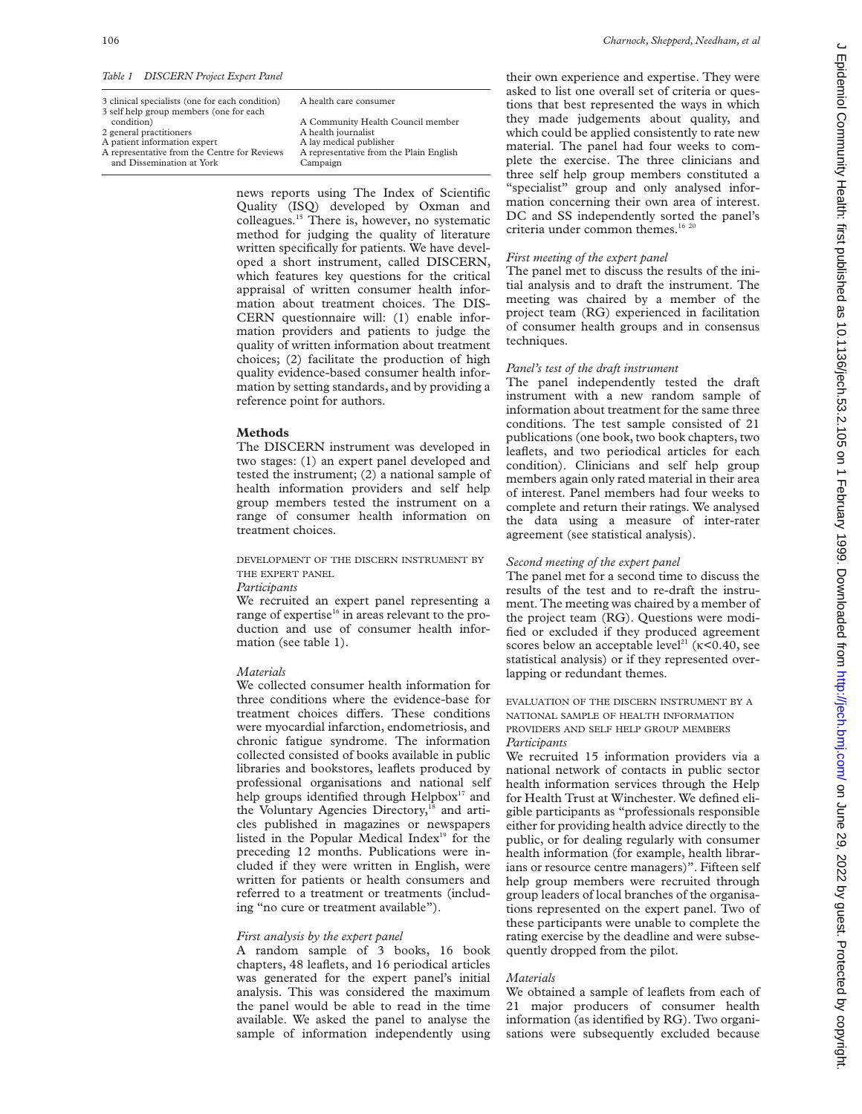*Table 1 DISCERN Project Expert Panel*

| 3 clinical specialists (one for each condition) |
|-------------------------------------------------|
| 3 self help group members (one for each         |
| condition)                                      |
| 2 general practitioners                         |

A patient information expert

A representative from the Centre for Reviews

and Dissemination at York

A health care consumer

A Community Health Council member A health journalist<br>A lay medical publisher A representative from the Plain English Campaign

news reports using The Index of Scientific Quality (ISQ) developed by Oxman and colleagues.15 There is, however, no systematic method for judging the quality of literature written specifically for patients. We have developed a short instrument, called DISCERN, which features key questions for the critical appraisal of written consumer health information about treatment choices. The DIS-CERN questionnaire will: (1) enable information providers and patients to judge the quality of written information about treatment choices; (2) facilitate the production of high quality evidence-based consumer health information by setting standards, and by providing a reference point for authors.

#### **Methods**

The DISCERN instrument was developed in two stages: (1) an expert panel developed and tested the instrument; (2) a national sample of health information providers and self help group members tested the instrument on a range of consumer health information on treatment choices.

DEVELOPMENT OF THE DISCERN INSTRUMENT BY THE EXPERT PANEL

## *Participants*

We recruited an expert panel representing a range of expertise $16$  in areas relevant to the production and use of consumer health information (see table 1).

#### *Materials*

We collected consumer health information for three conditions where the evidence-base for treatment choices differs. These conditions were myocardial infarction, endometriosis, and chronic fatigue syndrome. The information collected consisted of books available in public libraries and bookstores, leaflets produced by professional organisations and national self help groups identified through Helpbox<sup>17</sup> and the Voluntary Agencies Directory,<sup>18</sup> and articles published in magazines or newspapers listed in the Popular Medical Index<sup>19</sup> for the preceding 12 months. Publications were included if they were written in English, were written for patients or health consumers and referred to a treatment or treatments (including "no cure or treatment available").

#### *First analysis by the expert panel*

A random sample of 3 books, 16 book chapters, 48 leaflets, and 16 periodical articles was generated for the expert panel's initial analysis. This was considered the maximum the panel would be able to read in the time available. We asked the panel to analyse the sample of information independently using

their own experience and expertise. They were asked to list one overall set of criteria or questions that best represented the ways in which they made judgements about quality, and which could be applied consistently to rate new material. The panel had four weeks to complete the exercise. The three clinicians and three self help group members constituted a "specialist" group and only analysed information concerning their own area of interest. DC and SS independently sorted the panel's criteria under common themes.<sup>16</sup>

#### *First meeting of the expert panel*

The panel met to discuss the results of the initial analysis and to draft the instrument. The meeting was chaired by a member of the project team (RG) experienced in facilitation of consumer health groups and in consensus techniques.

#### *Panel's test of the draft instrument*

The panel independently tested the draft instrument with a new random sample of information about treatment for the same three conditions. The test sample consisted of 21 publications (one book, two book chapters, two leaflets, and two periodical articles for each condition). Clinicians and self help group members again only rated material in their area of interest. Panel members had four weeks to complete and return their ratings. We analysed the data using a measure of inter-rater agreement (see statistical analysis).

#### *Second meeting of the expert panel*

The panel met for a second time to discuss the results of the test and to re-draft the instrument. The meeting was chaired by a member of the project team (RG). Questions were modified or excluded if they produced agreement scores below an acceptable level<sup>21</sup> ( $\kappa$ <0.40, see statistical analysis) or if they represented overlapping or redundant themes.

# EVALUATION OF THE DISCERN INSTRUMENT BY A NATIONAL SAMPLE OF HEALTH INFORMATION PROVIDERS AND SELF HELP GROUP MEMBERS *Participants*

We recruited 15 information providers via a national network of contacts in public sector health information services through the Help for Health Trust at Winchester. We defined eligible participants as "professionals responsible either for providing health advice directly to the public, or for dealing regularly with consumer health information (for example, health librarians or resource centre managers)". Fifteen self help group members were recruited through group leaders of local branches of the organisations represented on the expert panel. Two of these participants were unable to complete the rating exercise by the deadline and were subsequently dropped from the pilot.

### *Materials*

We obtained a sample of leaflets from each of 21 major producers of consumer health information (as identified by RG). Two organisations were subsequently excluded because

 $\subset$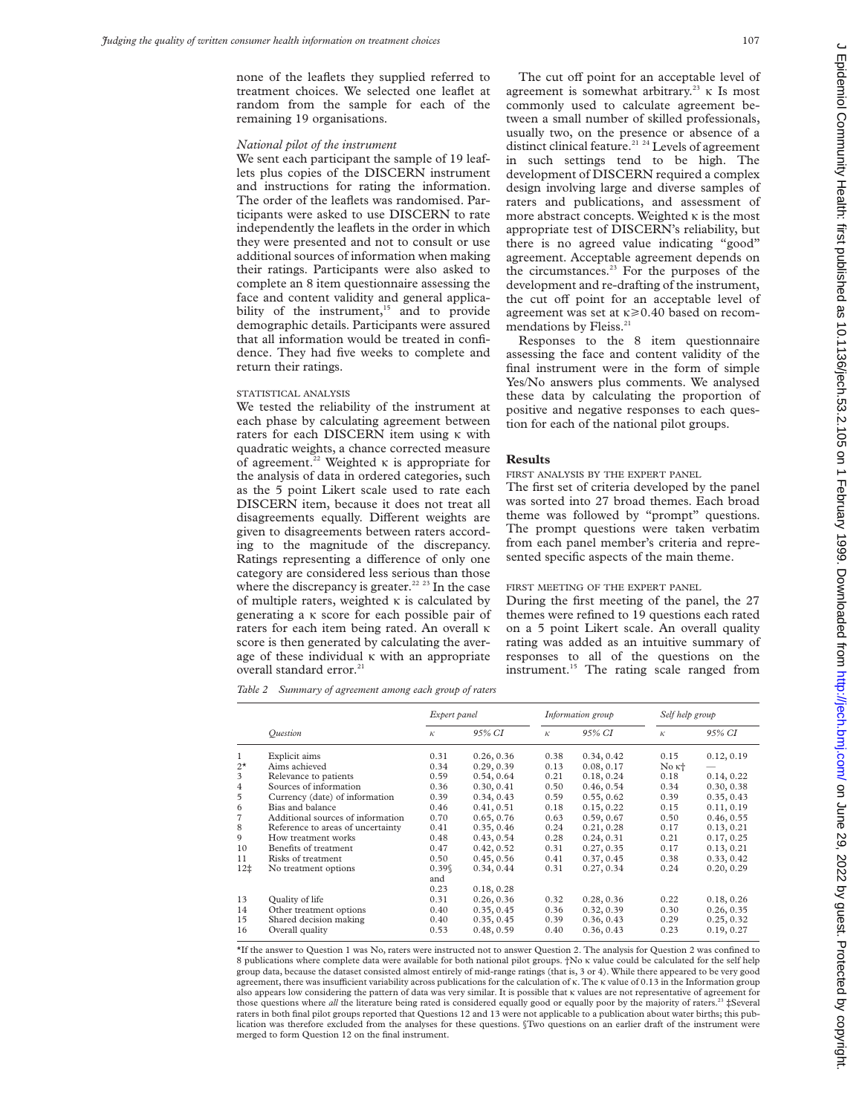none of the leaflets they supplied referred to treatment choices. We selected one leaflet at random from the sample for each of the remaining 19 organisations.

#### *National pilot of the instrument*

We sent each participant the sample of 19 leaflets plus copies of the DISCERN instrument and instructions for rating the information. The order of the leaflets was randomised. Participants were asked to use DISCERN to rate independently the leaflets in the order in which they were presented and not to consult or use additional sources of information when making their ratings. Participants were also asked to complete an 8 item questionnaire assessing the face and content validity and general applicability of the instrument,<sup>15</sup> and to provide demographic details. Participants were assured that all information would be treated in confidence. They had five weeks to complete and return their ratings.

## STATISTICAL ANALYSIS

We tested the reliability of the instrument at each phase by calculating agreement between raters for each DISCERN item using  $\kappa$  with quadratic weights, a chance corrected measure of agreement.<sup>22</sup> Weighted  $\kappa$  is appropriate for the analysis of data in ordered categories, such as the 5 point Likert scale used to rate each DISCERN item, because it does not treat all disagreements equally. Different weights are given to disagreements between raters according to the magnitude of the discrepancy. Ratings representing a difference of only one category are considered less serious than those where the discrepancy is greater.<sup>22</sup> <sup>23</sup> In the case of multiple raters, weighted  $\kappa$  is calculated by generating a  $\kappa$  score for each possible pair of raters for each item being rated. An overall  $\kappa$ score is then generated by calculating the average of these individual  $\kappa$  with an appropriate overall standard error.<sup>21</sup>

The cut off point for an acceptable level of agreement is somewhat arbitrary.<sup>23</sup>  $\kappa$  Is most commonly used to calculate agreement between a small number of skilled professionals, usually two, on the presence or absence of a distinct clinical feature.<sup>21</sup> <sup>24</sup> Levels of agreement in such settings tend to be high. The development of DISCERN required a complex design involving large and diverse samples of raters and publications, and assessment of more abstract concepts. Weighted  $\kappa$  is the most appropriate test of DISCERN's reliability, but there is no agreed value indicating "good" agreement. Acceptable agreement depends on the circumstances.<sup>23</sup> For the purposes of the development and re-drafting of the instrument, the cut off point for an acceptable level of agreement was set at  $\kappa \ge 0.40$  based on recommendations by Fleiss.<sup>21</sup>

Responses to the 8 item questionnaire assessing the face and content validity of the final instrument were in the form of simple Yes/No answers plus comments. We analysed these data by calculating the proportion of positive and negative responses to each question for each of the national pilot groups.

# **Results**

FIRST ANALYSIS BY THE EXPERT PANEL

The first set of criteria developed by the panel was sorted into 27 broad themes. Each broad theme was followed by "prompt" questions. The prompt questions were taken verbatim from each panel member's criteria and represented specific aspects of the main theme.

#### FIRST MEETING OF THE EXPERT PANEL

During the first meeting of the panel, the 27 themes were refined to 19 questions each rated on a 5 point Likert scale. An overall quality rating was added as an intuitive summary of responses to all of the questions on the instrument.<sup>15</sup> The rating scale ranged from

*Table 2 Summary of agreement among each group of raters*

|                 |                                   | Expert panel |            |      | Information group | Self help group      |            |
|-----------------|-----------------------------------|--------------|------------|------|-------------------|----------------------|------------|
|                 | Ouestion                          | ĸ            | 95% CI     | K    | 95% CI            | K                    | 95% CI     |
| $\mathbf{1}$    | Explicit aims                     | 0.31         | 0.26, 0.36 | 0.38 | 0.34, 0.42        | 0.15                 | 0.12, 0.19 |
| $2^{\star}$     | Aims achieved                     | 0.34         | 0.29, 0.39 | 0.13 | 0.08, 0.17        | $\rm{No}$ $\rm{K}^+$ |            |
| 3               | Relevance to patients             | 0.59         | 0.54, 0.64 | 0.21 | 0.18, 0.24        | 0.18                 | 0.14, 0.22 |
| 4               | Sources of information            | 0.36         | 0.30, 0.41 | 0.50 | 0.46, 0.54        | 0.34                 | 0.30, 0.38 |
| 5               | Currency (date) of information    | 0.39         | 0.34, 0.43 | 0.59 | 0.55, 0.62        | 0.39                 | 0.35, 0.43 |
| 6               | Bias and balance                  | 0.46         | 0.41, 0.51 | 0.18 | 0.15, 0.22        | 0.15                 | 0.11, 0.19 |
| 7               | Additional sources of information | 0.70         | 0.65, 0.76 | 0.63 | 0.59, 0.67        | 0.50                 | 0.46, 0.55 |
| 8               | Reference to areas of uncertainty | 0.41         | 0.35, 0.46 | 0.24 | 0.21, 0.28        | 0.17                 | 0.13, 0.21 |
| 9               | How treatment works               | 0.48         | 0.43, 0.54 | 0.28 | 0.24, 0.31        | 0.21                 | 0.17, 0.25 |
| 10              | Benefits of treatment             | 0.47         | 0.42, 0.52 | 0.31 | 0.27, 0.35        | 0.17                 | 0.13, 0.21 |
| 11              | Risks of treatment                | 0.50         | 0.45, 0.56 | 0.41 | 0.37, 0.45        | 0.38                 | 0.33, 0.42 |
| 12 <sub>‡</sub> | No treatment options              | 0.39%        | 0.34, 0.44 | 0.31 | 0.27, 0.34        | 0.24                 | 0.20, 0.29 |
|                 |                                   | and          |            |      |                   |                      |            |
|                 |                                   | 0.23         | 0.18, 0.28 |      |                   |                      |            |
| 13              | Quality of life                   | 0.31         | 0.26, 0.36 | 0.32 | 0.28, 0.36        | 0.22                 | 0.18, 0.26 |
| 14              | Other treatment options           | 0.40         | 0.35, 0.45 | 0.36 | 0.32, 0.39        | 0.30                 | 0.26, 0.35 |
| 15              | Shared decision making            | 0.40         | 0.35, 0.45 | 0.39 | 0.36, 0.43        | 0.29                 | 0.25, 0.32 |
| 16              | Overall quality                   | 0.53         | 0.48, 0.59 | 0.40 | 0.36, 0.43        | 0.23                 | 0.19, 0.27 |

\*If the answer to Question 1 was No, raters were instructed not to answer Question 2. The analysis for Question 2 was confined to 8 publications where complete data were available for both national pilot groups. †No  $\kappa$  value could be calculated for the self help group data, because the dataset consisted almost entirely of mid-range ratings (that is, 3 or 4). While there appeared to be very good agreement, there was insufficient variability across publications for the calculation of  $\kappa$ . The  $\kappa$  value of 0.13 in the Information group also appears low considering the pattern of data was very similar. It is possible that  $\kappa$  values are not representative of agreement for those questions where *all* the literature being rated is considered equally good or equally poor by the majority of raters.<sup>23</sup>  $\pm$ Several raters in both final pilot groups reported that Questions 12 and 13 were not applicable to a publication about water births; this publication was therefore excluded from the analyses for these questions. §Two questions on an earlier draft of the instrument were merged to form Question 12 on the final instrument.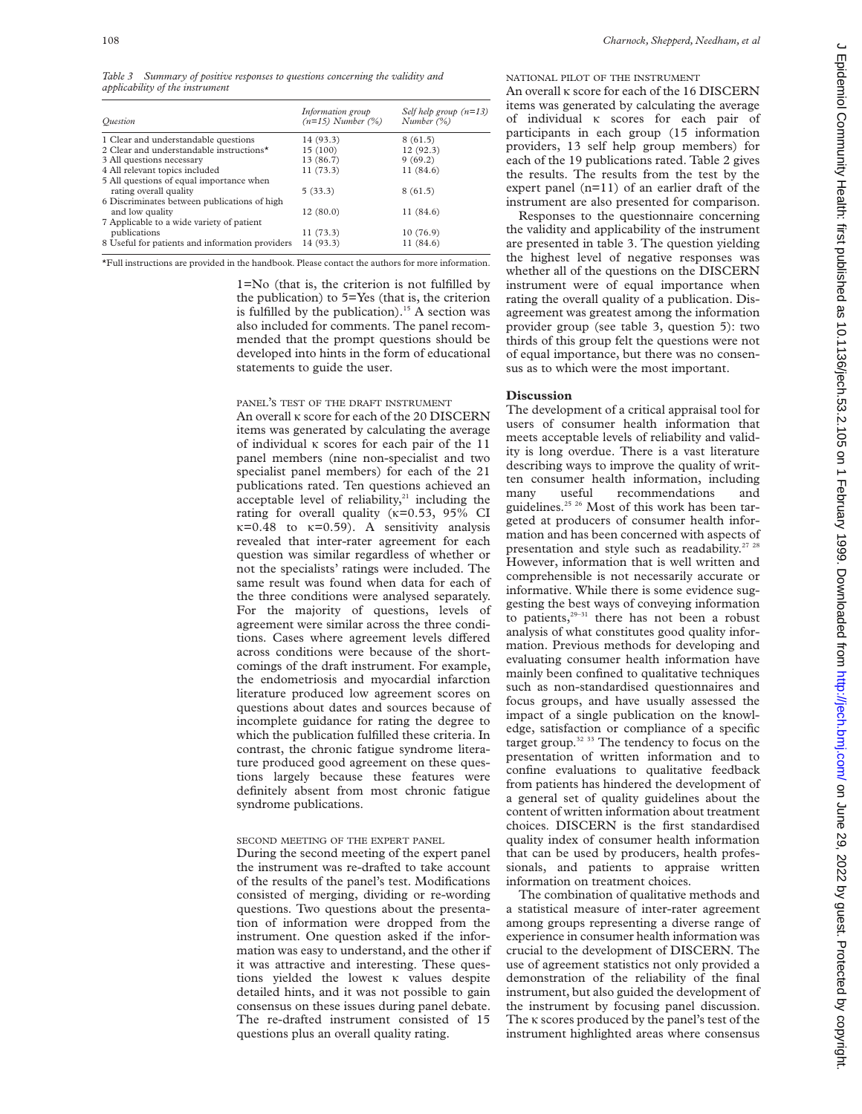*Table 3 Summary of positive responses to questions concerning the validity and applicability of the instrument*

| Ouestion                                        | Information group<br>$(n=15)$ Number $(%)$ | Self help group $(n=13)$<br>Number (%) |
|-------------------------------------------------|--------------------------------------------|----------------------------------------|
| 1 Clear and understandable questions            | 14 (93.3)                                  | 8(61.5)                                |
| 2 Clear and understandable instructions*        | 15(100)                                    | 12(92.3)                               |
| 3 All questions necessary                       | 13 (86.7)                                  | 9(69.2)                                |
| 4 All relevant topics included                  | 11(73.3)                                   | 11(84.6)                               |
| 5 All questions of equal importance when        |                                            |                                        |
| rating overall quality                          | 5(33.3)                                    | 8(61.5)                                |
| 6 Discriminates between publications of high    |                                            |                                        |
| and low quality                                 | 12(80.0)                                   | 11(84.6)                               |
| 7 Applicable to a wide variety of patient       |                                            |                                        |
| publications                                    | 11(73.3)                                   | 10(76.9)                               |
| 8 Useful for patients and information providers | 14 (93.3)                                  | 11 (84.6)                              |

\*Full instructions are provided in the handbook. Please contact the authors for more information.

1=No (that is, the criterion is not fulfilled by the publication) to 5=Yes (that is, the criterion is fulfilled by the publication).<sup>15</sup> A section was also included for comments. The panel recommended that the prompt questions should be developed into hints in the form of educational statements to guide the user.

# PANEL'S TEST OF THE DRAFT INSTRUMENT

An overall  $\kappa$  score for each of the 20 DISCERN items was generated by calculating the average of individual  $\kappa$  scores for each pair of the 11 panel members (nine non-specialist and two specialist panel members) for each of the 21 publications rated. Ten questions achieved an acceptable level of reliability, $21$  including the rating for overall quality ( $\kappa$ =0.53, 95% CI  $\kappa$ =0.48 to  $\kappa$ =0.59). A sensitivity analysis revealed that inter-rater agreement for each question was similar regardless of whether or not the specialists' ratings were included. The same result was found when data for each of the three conditions were analysed separately. For the majority of questions, levels of agreement were similar across the three conditions. Cases where agreement levels differed across conditions were because of the shortcomings of the draft instrument. For example, the endometriosis and myocardial infarction literature produced low agreement scores on questions about dates and sources because of incomplete guidance for rating the degree to which the publication fulfilled these criteria. In contrast, the chronic fatigue syndrome literature produced good agreement on these questions largely because these features were definitely absent from most chronic fatigue syndrome publications.

### SECOND MEETING OF THE EXPERT PANEL

During the second meeting of the expert panel the instrument was re-drafted to take account of the results of the panel's test. Modifications consisted of merging, dividing or re-wording questions. Two questions about the presentation of information were dropped from the instrument. One question asked if the information was easy to understand, and the other if it was attractive and interesting. These questions yielded the lowest  $\kappa$  values despite detailed hints, and it was not possible to gain consensus on these issues during panel debate. The re-drafted instrument consisted of 15 questions plus an overall quality rating.

NATIONAL PILOT OF THE INSTRUMENT

An overall  $\kappa$  score for each of the 16 DISCERN items was generated by calculating the average of individual  $\kappa$  scores for each pair of participants in each group (15 information providers, 13 self help group members) for each of the 19 publications rated. Table 2 gives the results. The results from the test by the expert panel (n=11) of an earlier draft of the instrument are also presented for comparison.

Responses to the questionnaire concerning the validity and applicability of the instrument are presented in table 3. The question yielding the highest level of negative responses was whether all of the questions on the DISCERN instrument were of equal importance when rating the overall quality of a publication. Disagreement was greatest among the information provider group (see table 3, question 5): two thirds of this group felt the questions were not of equal importance, but there was no consensus as to which were the most important.

# **Discussion**

The development of a critical appraisal tool for users of consumer health information that meets acceptable levels of reliability and validity is long overdue. There is a vast literature describing ways to improve the quality of written consumer health information, including<br>many useful recommendations and many useful recommendations and guidelines.<sup>25</sup> <sup>26</sup> Most of this work has been targeted at producers of consumer health information and has been concerned with aspects of presentation and style such as readability.<sup>27</sup> <sup>28</sup> However, information that is well written and comprehensible is not necessarily accurate or informative. While there is some evidence suggesting the best ways of conveying information to patients,<sup>29-31</sup> there has not been a robust analysis of what constitutes good quality information. Previous methods for developing and evaluating consumer health information have mainly been confined to qualitative techniques such as non-standardised questionnaires and focus groups, and have usually assessed the impact of a single publication on the knowledge, satisfaction or compliance of a specific target group.<sup>32 33</sup> The tendency to focus on the presentation of written information and to confine evaluations to qualitative feedback from patients has hindered the development of a general set of quality guidelines about the content of written information about treatment choices. DISCERN is the first standardised quality index of consumer health information that can be used by producers, health professionals, and patients to appraise written information on treatment choices.

The combination of qualitative methods and a statistical measure of inter-rater agreement among groups representing a diverse range of experience in consumer health information was crucial to the development of DISCERN. The use of agreement statistics not only provided a demonstration of the reliability of the final instrument, but also guided the development of the instrument by focusing panel discussion. The  $\kappa$  scores produced by the panel's test of the instrument highlighted areas where consensus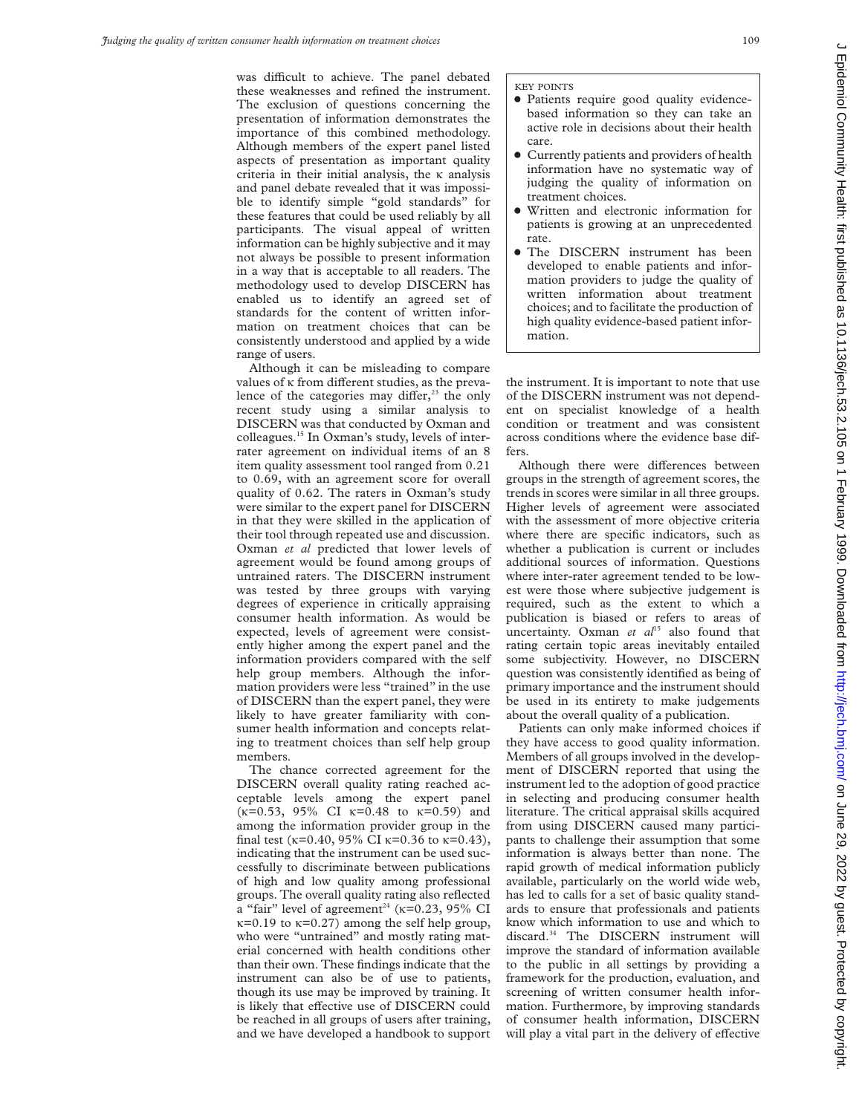was difficult to achieve. The panel debated these weaknesses and refined the instrument. The exclusion of questions concerning the presentation of information demonstrates the importance of this combined methodology. Although members of the expert panel listed aspects of presentation as important quality criteria in their initial analysis, the  $\kappa$  analysis and panel debate revealed that it was impossible to identify simple "gold standards" for these features that could be used reliably by all participants. The visual appeal of written information can be highly subjective and it may not always be possible to present information in a way that is acceptable to all readers. The methodology used to develop DISCERN has enabled us to identify an agreed set of standards for the content of written information on treatment choices that can be consistently understood and applied by a wide range of users.

Although it can be misleading to compare values of  $\kappa$  from different studies, as the prevalence of the categories may differ, $23$  the only recent study using a similar analysis to DISCERN was that conducted by Oxman and colleagues.15 In Oxman's study, levels of interrater agreement on individual items of an 8 item quality assessment tool ranged from 0.21 to 0.69, with an agreement score for overall quality of 0.62. The raters in Oxman's study were similar to the expert panel for DISCERN in that they were skilled in the application of their tool through repeated use and discussion. Oxman *et al* predicted that lower levels of agreement would be found among groups of untrained raters. The DISCERN instrument was tested by three groups with varying degrees of experience in critically appraising consumer health information. As would be expected, levels of agreement were consistently higher among the expert panel and the information providers compared with the self help group members. Although the information providers were less "trained" in the use of DISCERN than the expert panel, they were likely to have greater familiarity with consumer health information and concepts relating to treatment choices than self help group members.

The chance corrected agreement for the DISCERN overall quality rating reached acceptable levels among the expert panel  $(k=0.53, 95\% \text{ CI } k=0.48 \text{ to } k=0.59) \text{ and}$ among the information provider group in the final test ( $\kappa$ =0.40, 95% CI  $\kappa$ =0.36 to  $\kappa$ =0.43), indicating that the instrument can be used successfully to discriminate between publications of high and low quality among professional groups. The overall quality rating also reflected a "fair" level of agreement<sup>24</sup> ( $\kappa$ =0.23, 95% CI  $\kappa$ =0.19 to  $\kappa$ =0.27) among the self help group, who were "untrained" and mostly rating material concerned with health conditions other than their own. These findings indicate that the instrument can also be of use to patients, though its use may be improved by training. It is likely that effective use of DISCERN could be reached in all groups of users after training, and we have developed a handbook to support

#### KEY POINTS

- Patients require good quality evidencebased information so they can take an active role in decisions about their health care.
- Currently patients and providers of health information have no systematic way of judging the quality of information on treatment choices.
- x Written and electronic information for patients is growing at an unprecedented rate.
- The DISCERN instrument has been developed to enable patients and information providers to judge the quality of written information about treatment choices; and to facilitate the production of high quality evidence-based patient information.

the instrument. It is important to note that use of the DISCERN instrument was not dependent on specialist knowledge of a health condition or treatment and was consistent across conditions where the evidence base differs.

Although there were differences between groups in the strength of agreement scores, the trends in scores were similar in all three groups. Higher levels of agreement were associated with the assessment of more objective criteria where there are specific indicators, such as whether a publication is current or includes additional sources of information. Questions where inter-rater agreement tended to be lowest were those where subjective judgement is required, such as the extent to which a publication is biased or refers to areas of uncertainty. Oxman *et al*<sup>15</sup> also found that rating certain topic areas inevitably entailed some subjectivity. However, no DISCERN question was consistently identified as being of primary importance and the instrument should be used in its entirety to make judgements about the overall quality of a publication.

Patients can only make informed choices if they have access to good quality information. Members of all groups involved in the development of DISCERN reported that using the instrument led to the adoption of good practice in selecting and producing consumer health literature. The critical appraisal skills acquired from using DISCERN caused many participants to challenge their assumption that some information is always better than none. The rapid growth of medical information publicly available, particularly on the world wide web, has led to calls for a set of basic quality standards to ensure that professionals and patients know which information to use and which to discard.34 The DISCERN instrument will improve the standard of information available to the public in all settings by providing a framework for the production, evaluation, and screening of written consumer health information. Furthermore, by improving standards of consumer health information, DISCERN will play a vital part in the delivery of effective

 $\subset$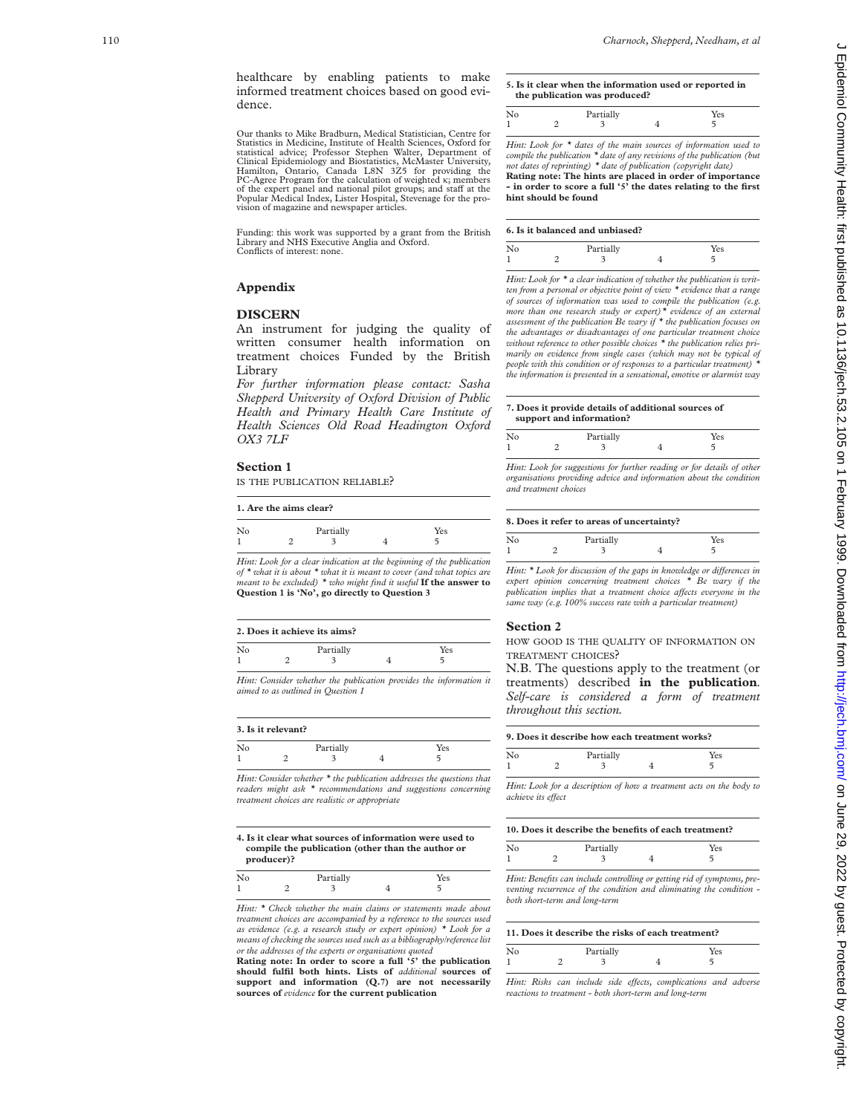healthcare by enabling patients to make informed treatment choices based on good evidence.

Our thanks to Mike Bradburn, Medical Statistician, Centre for Statistics in Medicine, Institute of Health Sciences, Oxford for statistical advice; Professor Stephen Walter, Department of Clinical Epidemiology and Biostatistics, McMaster University, Hamilton, Ontario, Canada L8N 3Z5 for providing the PC-Agree Program for the calculation of weighted ê; members of the expert panel and national pilot groups; and sta V at the Popular Medical Index, Lister Hospital, Stevenage for the provision of magazine and newspaper articles.

Funding: this work was supported by a grant from the British Library and NHS Executive Anglia and Oxford. Conflicts of interest: none.

## **Appendix**

#### **DISCERN**

An instrument for judging the quality of written consumer health information on treatment choices Funded by the British Library

*For further information please contact: Sasha Shepperd University of Oxford Division of Public Health and Primary Health Care Institute of Health Sciences Old Road Headington Oxford OX3 7LF*

#### **Section 1**

IS THE PUBLICATION RELIABLE?

|    | 1. Are the aims clear? |           |  |     |  |  |  |
|----|------------------------|-----------|--|-----|--|--|--|
| No |                        | Partially |  | Yes |  |  |  |

*Hint: Look for a clear indication at the beginning of the publication of \* what it is about \* what it is meant to cover (and what topics are meant to be excluded) \* who might find it useful* **If the answer to Question 1 is 'No', go directly to Question 3**

|    | 2. Does it achieve its aims? |           |  |     |  |  |  |  |
|----|------------------------------|-----------|--|-----|--|--|--|--|
| No |                              | Partially |  | Yes |  |  |  |  |
|    |                              |           |  |     |  |  |  |  |

*Hint: Consider whether the publication provides the information it aimed to as outlined in Question 1*

## **3. Is it relevant?**

|     | <b>J. IS IL LUIUVAIIL.</b> |           |  |     |  |  |  |
|-----|----------------------------|-----------|--|-----|--|--|--|
| No. |                            | Partially |  | Yes |  |  |  |
|     |                            |           |  |     |  |  |  |

*Hint: Consider whether \* the publication addresses the questions that readers might ask \* recommendations and suggestions concerning treatment choices are realistic or appropriate*

**4. Is it clear what sources of information were used to compile the publication (other than the author or producer)?**

|  | $\sim$ $\alpha$ <sub>2</sub> $\alpha$ <sub>3</sub> | ____ |  |
|--|----------------------------------------------------|------|--|
|  |                                                    |      |  |

*Hint: \* Check whether the main claims or statements made about treatment choices are accompanied by a reference to the sources used as evidence (e.g. a research study or expert opinion) \* Look for a means of checking the sources used such as a bibliography/reference list or the addresses of the experts or organisations quoted*

**Rating note: In order to score a full '5' the publication should fulfil both hints. Lists of** *additional* **sources of support and information (Q.7) are not necessarily sources of** *evidence* **for the current publication**

**5. Is it clear when the information used or reported in the publication was produced?**

| ٦٦          | Partially | ___ |
|-------------|-----------|-----|
| $\mathbf 1$ |           |     |

*Hint: Look for \* dates of the main sources of information used to compile the publication \* date of any revisions of the publication (but not dates of reprinting) \* date of publication (copyright date)*

**Rating note: The hints are placed in order of importance - in order to score a full '5' the dates relating to the first hint should be found**

## **6. Is it balanced and unbiased?**

*Hint: Look for \* a clear indication of whether the publication is written from a personal or objective point of view \* evidence that a range of sources of information was used to compile the publication (e.g. more than one research study or expert)\* evidence of an external assessment of the publication Be wary if \* the publication focuses on the advantages or disadvantages of one particular treatment choice without reference to other possible choices \* the publication relies primarily on evidence from single cases (which may not be typical of people with this condition or of responses to a particular treatment) \* the information is presented in a sensational, emotive or alarmist way*

| 7. Does it provide details of additional sources of |  |
|-----------------------------------------------------|--|
| support and information?                            |  |

|  | Partially |  |  |
|--|-----------|--|--|
|  |           |  |  |

*Hint: Look for suggestions for further reading or for details of other organisations providing advice and information about the condition and treatment choices*

#### **8. Does it refer to areas of uncertainty?**

|           | . . |  |
|-----------|-----|--|
| Partially |     |  |
|           |     |  |
|           |     |  |

*Hint:* \* Look for discussion of the gaps in knowledge or differences in *expert opinion concerning treatment choices \* Be wary if the publication implies that a treatment choice affects everyone in the same way (e.g. 100% success rate with a particular treatment)*

## **Section 2**

HOW GOOD IS THE QUALITY OF INFORMATION ON TREATMENT CHOICES ?

N.B. The questions apply to the treatment (or treatments) described **in the publication** *. Self-care is considered a form of treatment throughout this section.*

| 9. Does it describe how each treatment works? |  |           |     |  |  |  |
|-----------------------------------------------|--|-----------|-----|--|--|--|
| N٥                                            |  | Partially | Yes |  |  |  |
|                                               |  |           |     |  |  |  |
|                                               |  |           |     |  |  |  |

*Hint: Look for a description of how a treatment acts on the body to*  $\vec{a}$ *chieve* its effect

| 10. Does it describe the benefits of each treatment? |  |           |  |     |  |
|------------------------------------------------------|--|-----------|--|-----|--|
| No                                                   |  | Partially |  | Yes |  |
|                                                      |  |           |  |     |  |

*Hint: Benefits can include controlling or getting rid of symptoms, preventing recurrence of the condition and eliminating the condition both short-term and long-term*

#### **11. Does it describe the risks of each treatment?**

| $D = 1$ |                                     |  |     |  |
|---------|-------------------------------------|--|-----|--|
|         | $\sim$ $\sim$ $\mu$ $\mu$<br>$\sim$ |  | ___ |  |

*Hint: Risks can include side effects, complications and adverse reactions to treatment - both short-term and long-term*